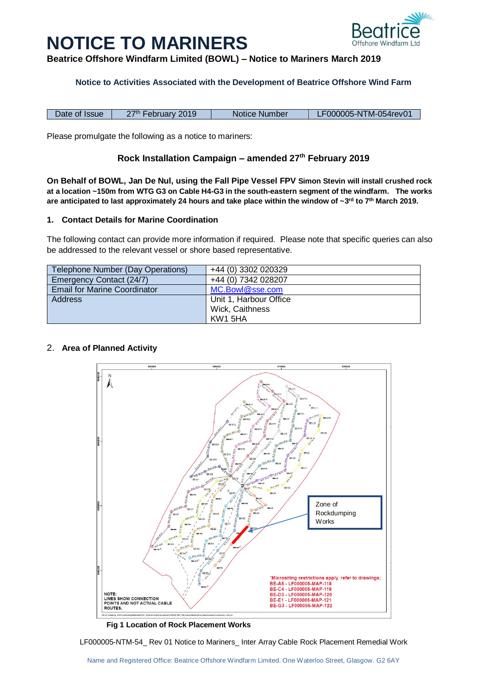# **NOTICE TO MARINERS**



**Beatrice Offshore Windfarm Limited (BOWL) – Notice to Mariners March 2019**

## **Notice to Activities Associated with the Development of Beatrice Offshore Wind Farm**

Date of Issue | 27<sup>th</sup> February 2019 | Notice Number | LF000005-NTM-054rev01

Please promulgate the following as a notice to mariners:

# **Rock Installation Campaign – amended 27th February 2019**

**On Behalf of BOWL, Jan De Nul, using the Fall Pipe Vessel FPV Simon Stevin will install crushed rock at a location ~150m from WTG G3 on Cable H4-G3 in the south-eastern segment of the windfarm. The works are anticipated to last approximately 24 hours and take place within the window of ~3 rd to 7 th March 2019.** 

#### **1. Contact Details for Marine Coordination**

The following contact can provide more information if required. Please note that specific queries can also be addressed to the relevant vessel or shore based representative.

| Telephone Number (Day Operations)   | +44 (0) 3302 020329    |
|-------------------------------------|------------------------|
| Emergency Contact (24/7)            | +44 (0) 7342 028207    |
| <b>Email for Marine Coordinator</b> | MC.Bowl@sse.com        |
| <b>Address</b>                      | Unit 1, Harbour Office |
|                                     | Wick, Caithness        |
|                                     | KW1 5HA                |

# 2. **Area of Planned Activity**



**Fig 1 Location of Rock Placement Works**

LF000005-NTM-54\_ Rev 01 Notice to Mariners\_ Inter Array Cable Rock Placement Remedial Work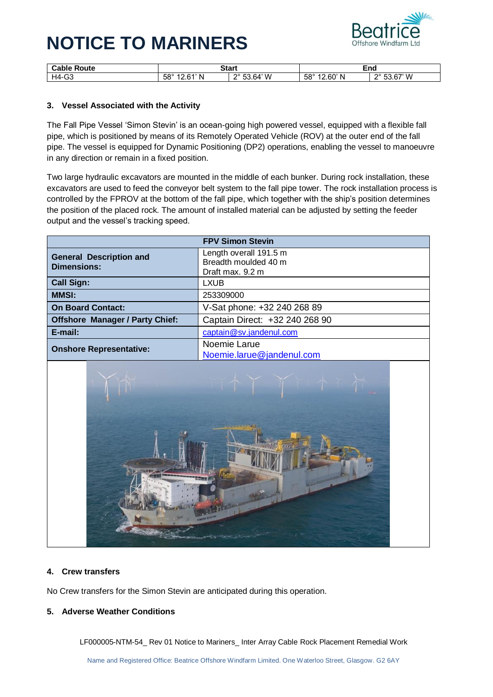# **NOTICE TO MARINERS**



| $\sim$ nhu<br>`oute<br>∍apıe | Start                                       |                                   | End                    |                  |
|------------------------------|---------------------------------------------|-----------------------------------|------------------------|------------------|
| $\sim$<br>$HA -$<br>ັບປ      | <b>CO</b> <sup>o</sup><br>$\sim$<br>N<br>эŏ | .64' W<br>0°<br>$ \sim$<br>∽<br>ິ | $58^\circ$<br>60'<br>N | 67' M<br>no<br>n |

## **3. Vessel Associated with the Activity**

The Fall Pipe Vessel 'Simon Stevin' is an ocean-going high powered vessel, equipped with a flexible fall pipe, which is positioned by means of its Remotely Operated Vehicle (ROV) at the outer end of the fall pipe. The vessel is equipped for Dynamic Positioning (DP2) operations, enabling the vessel to manoeuvre in any direction or remain in a fixed position.

Two large hydraulic excavators are mounted in the middle of each bunker. During rock installation, these excavators are used to feed the conveyor belt system to the fall pipe tower. The rock installation process is controlled by the FPROV at the bottom of the fall pipe, which together with the ship's position determines the position of the placed rock. The amount of installed material can be adjusted by setting the feeder output and the vessel's tracking speed.

| <b>FPV Simon Stevin</b>                                                     |                                                                    |  |
|-----------------------------------------------------------------------------|--------------------------------------------------------------------|--|
| <b>General Description and</b><br><b>Dimensions:</b>                        | Length overall 191.5 m<br>Breadth moulded 40 m<br>Draft max. 9.2 m |  |
| <b>Call Sign:</b>                                                           | LXUB                                                               |  |
| <b>MMSI:</b>                                                                | 253309000                                                          |  |
| <b>On Board Contact:</b>                                                    | V-Sat phone: +32 240 268 89                                        |  |
| <b>Offshore Manager / Party Chief:</b>                                      | Captain Direct: +32 240 268 90                                     |  |
| E-mail:                                                                     | captain@sv.jandenul.com                                            |  |
| Noemie Larue<br><b>Onshore Representative:</b><br>Noemie.larue@jandenul.com |                                                                    |  |



#### **4. Crew transfers**

No Crew transfers for the Simon Stevin are anticipated during this operation.

#### **5. Adverse Weather Conditions**

LF000005-NTM-54\_ Rev 01 Notice to Mariners\_ Inter Array Cable Rock Placement Remedial Work